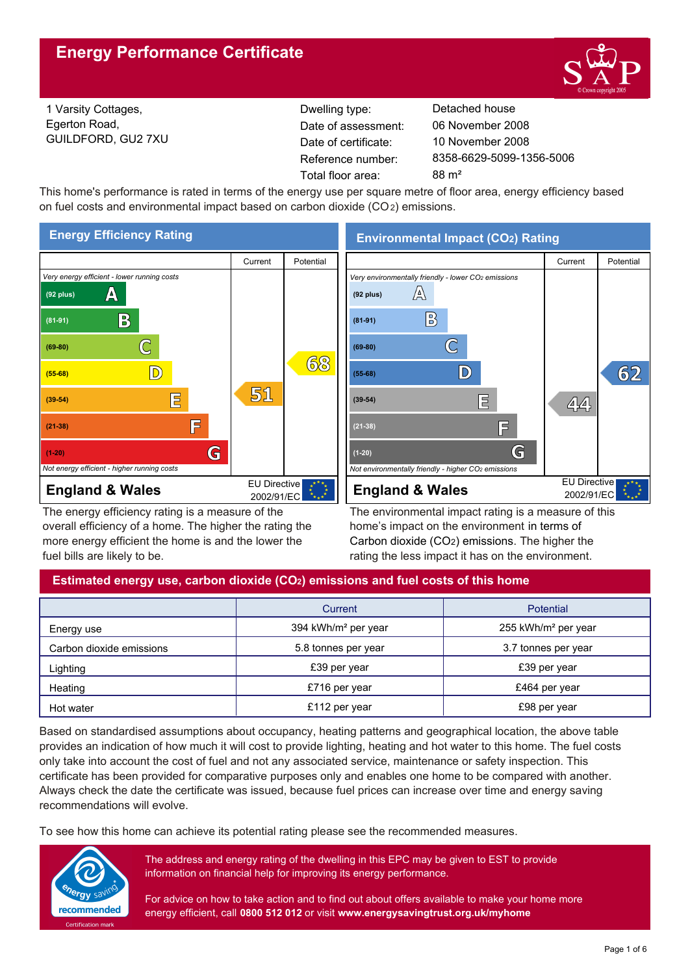

1 Varsity Cottages, Egerton Road, GUILDFORD, GU2 7XU Reference number: Dwelling type: Detached house Date of certificate: Total floor area: 88 m<sup>2</sup> Date of assessment:

8358-6629-5099-1356-5006 10 November 2008 06 November 2008

This home's performance is rated in terms of the energy use per square metre of floor area, energy efficiency based on fuel costs and environmental impact based on carbon dioxide (CO2) emissions.



The energy efficiency rating is a measure of the overall efficiency of a home. The higher the rating the more energy efficient the home is and the lower the fuel bills are likely to be.

**Environmental Impact (CO2) Rating**



The environmental impact rating is a measure of this home's impact on the environment in terms of Carbon dioxide (CO2) emissions. The higher the rating the less impact it has on the environment.

## **Estimated energy use, carbon dioxide (CO2) emissions and fuel costs of this home**

|                          | Current                         | Potential                       |
|--------------------------|---------------------------------|---------------------------------|
| Energy use               | 394 kWh/m <sup>2</sup> per year | 255 kWh/m <sup>2</sup> per year |
| Carbon dioxide emissions | 5.8 tonnes per year             | 3.7 tonnes per year             |
| Lighting                 | £39 per year                    | £39 per year                    |
| Heating                  | £716 per year                   | £464 per year                   |
| Hot water                | £112 per year                   | £98 per year                    |

Based on standardised assumptions about occupancy, heating patterns and geographical location, the above table provides an indication of how much it will cost to provide lighting, heating and hot water to this home. The fuel costs only take into account the cost of fuel and not any associated service, maintenance or safety inspection. This certificate has been provided for comparative purposes only and enables one home to be compared with another. Always check the date the certificate was issued, because fuel prices can increase over time and energy saving recommendations will evolve.

To see how this home can achieve its potential rating please see the recommended measures.



The address and energy rating of the dwelling in this EPC may be given to EST to provide information on financial help for improving its energy performance.

For advice on how to take action and to find out about offers available to make your home more energy efficient, call **0800 512 012** or visit **www.energysavingtrust.org.uk/myhome**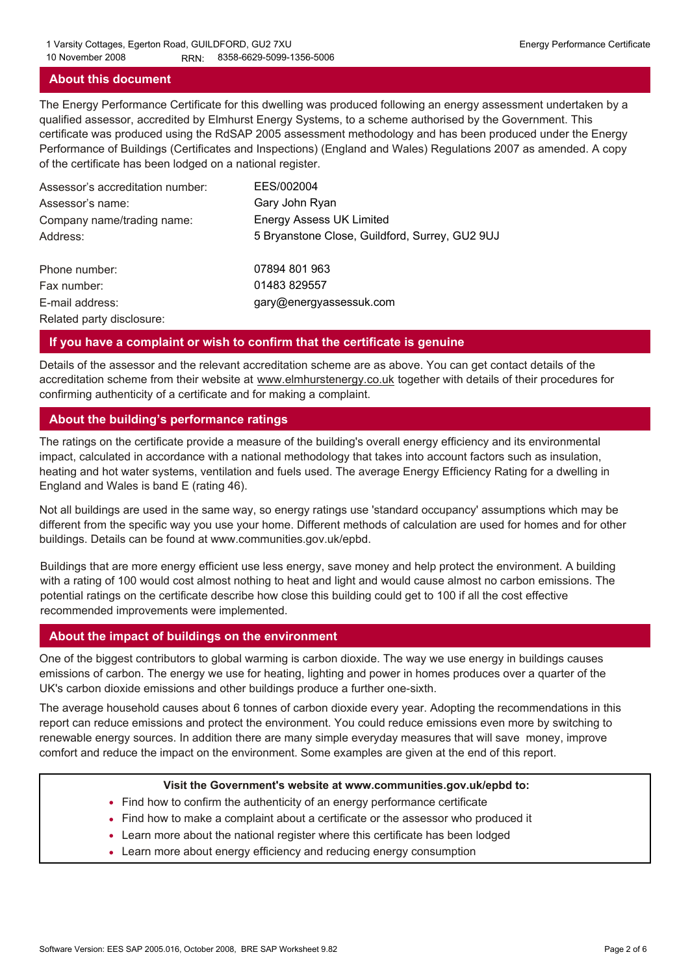### **About this document**

The Energy Performance Certificate for this dwelling was produced following an energy assessment undertaken by a qualified assessor, accredited by Elmhurst Energy Systems, to a scheme authorised by the Government. This certificate was produced using the RdSAP 2005 assessment methodology and has been produced under the Energy Performance of Buildings (Certificates and Inspections) (England and Wales) Regulations 2007 as amended. A copy of the certificate has been lodged on a national register.

| Assessor's accreditation number: | EES/002004                                     |
|----------------------------------|------------------------------------------------|
| Assessor's name:                 | Gary John Ryan                                 |
| Company name/trading name:       | <b>Energy Assess UK Limited</b>                |
| Address:                         | 5 Bryanstone Close, Guildford, Surrey, GU2 9UJ |
| Phone number:                    | 07894 801 963                                  |
| Fax number:                      | 01483 829557                                   |
| E-mail address:                  | gary@energyassessuk.com                        |
| Related party disclosure:        |                                                |

### **If you have a complaint or wish to confirm that the certificate is genuine**

Details of the assessor and the relevant accreditation scheme are as above. You can get contact details of the accreditation scheme from their website at www.elmhurstenergy.co.uk together with details of their procedures for confirming authenticity of a certificate and for making a complaint.

### **About the building's performance ratings**

The ratings on the certificate provide a measure of the building's overall energy efficiency and its environmental impact, calculated in accordance with a national methodology that takes into account factors such as insulation, heating and hot water systems, ventilation and fuels used. The average Energy Efficiency Rating for a dwelling in England and Wales is band E (rating 46).

Not all buildings are used in the same way, so energy ratings use 'standard occupancy' assumptions which may be different from the specific way you use your home. Different methods of calculation are used for homes and for other buildings. Details can be found at www.communities.gov.uk/epbd.

Buildings that are more energy efficient use less energy, save money and help protect the environment. A building with a rating of 100 would cost almost nothing to heat and light and would cause almost no carbon emissions. The potential ratings on the certificate describe how close this building could get to 100 if all the cost effective recommended improvements were implemented.

### **About the impact of buildings on the environment**

One of the biggest contributors to global warming is carbon dioxide. The way we use energy in buildings causes emissions of carbon. The energy we use for heating, lighting and power in homes produces over a quarter of the UK's carbon dioxide emissions and other buildings produce a further one-sixth.

The average household causes about 6 tonnes of carbon dioxide every year. Adopting the recommendations in this report can reduce emissions and protect the environment. You could reduce emissions even more by switching to renewable energy sources. In addition there are many simple everyday measures that will save money, improve comfort and reduce the impact on the environment. Some examples are given at the end of this report.

#### **Visit the Government's website at www.communities.gov.uk/epbd to:**

- Find how to confirm the authenticity of an energy performance certificate
- Find how to make a complaint about a certificate or the assessor who produced it •
- Learn more about the national register where this certificate has been lodged •
- Learn more about energy efficiency and reducing energy consumption •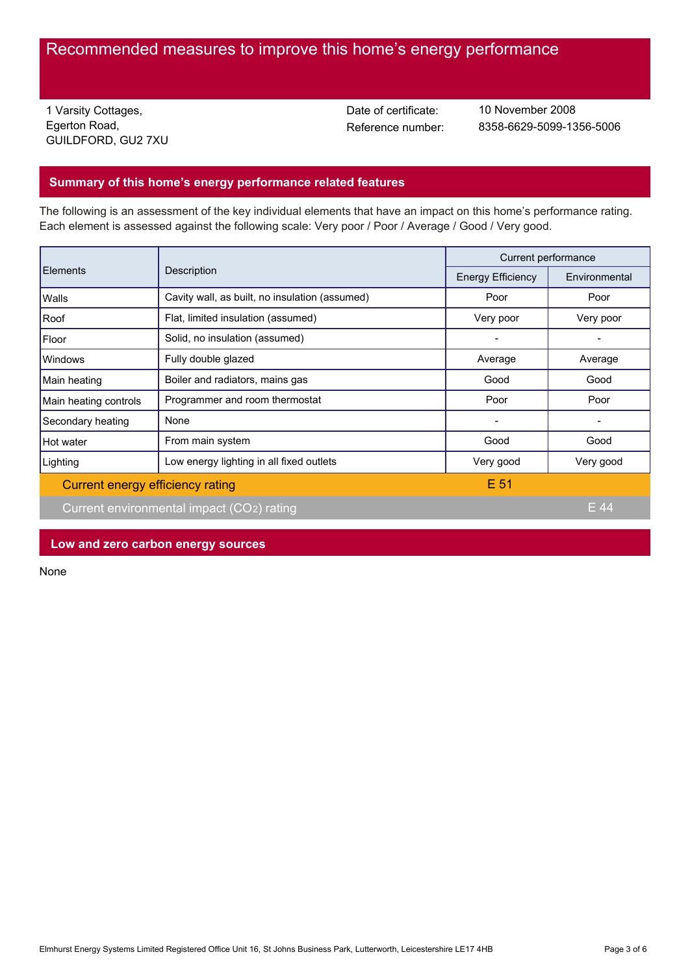# Recommended measures to improve this home's energy performance

1 Varsity Cottages, Egerton Road, GUILDFORD, GU2 7XU Date of certificate:

Reference number: 8358-6629-5099-1356-5006 10 November 2008

### **Summary of this home's energy performance related features**

The following is an assessment of the key individual elements that have an impact on this home's performance rating. Each element is assessed against the following scale: Very poor / Poor / Average / Good / Very good.

| Elements                         | Description                                    | Current performance      |               |
|----------------------------------|------------------------------------------------|--------------------------|---------------|
|                                  |                                                | <b>Energy Efficiency</b> | Environmental |
| Walls                            | Cavity wall, as built, no insulation (assumed) | Poor                     | Poor          |
| Roof                             | Flat, limited insulation (assumed)             | Very poor                | Very poor     |
| Floor                            | Solid, no insulation (assumed)                 |                          |               |
| Windows                          | Fully double glazed                            | Average                  | Average       |
| Main heating                     | Boiler and radiators, mains gas                | Good                     | Good          |
| Main heating controls            | Programmer and room thermostat                 | Poor                     | Poor          |
| Secondary heating                | None                                           |                          |               |
| Hot water                        | From main system                               | Good                     | Good          |
| Lighting                         | Low energy lighting in all fixed outlets       | Very good                | Very good     |
| Current energy efficiency rating |                                                | E 51                     |               |
|                                  | Current environmental impact (CO2) rating      |                          | E 44          |

**Low and zero carbon energy sources**

None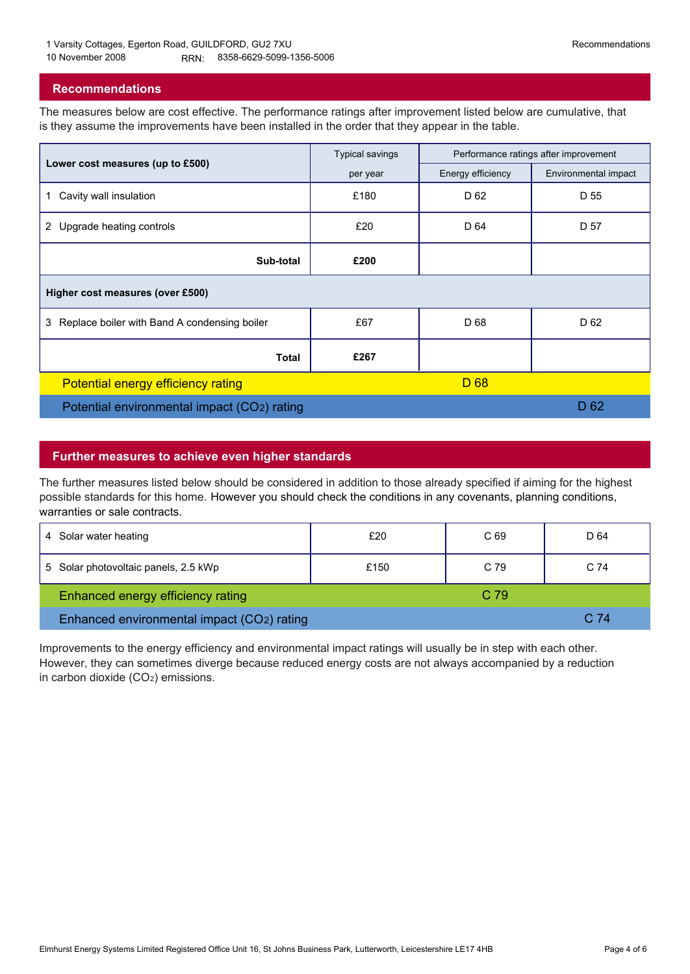### **Recommendations**

The measures below are cost effective. The performance ratings after improvement listed below are cumulative, that is they assume the improvements have been installed in the order that they appear in the table.

|                                                   | <b>Typical savings</b> | Performance ratings after improvement |                      |  |  |
|---------------------------------------------------|------------------------|---------------------------------------|----------------------|--|--|
| Lower cost measures (up to £500)                  | per year               | Energy efficiency                     | Environmental impact |  |  |
| Cavity wall insulation<br>1                       | £180                   | D 62                                  | D 55                 |  |  |
| 2 Upgrade heating controls                        | £20                    | D 64                                  | D 57                 |  |  |
| Sub-total                                         | £200                   |                                       |                      |  |  |
| Higher cost measures (over £500)                  |                        |                                       |                      |  |  |
| Replace boiler with Band A condensing boiler<br>3 | £67                    | D 68                                  | D 62                 |  |  |
| <b>Total</b>                                      | £267                   |                                       |                      |  |  |
| Potential energy efficiency rating                |                        | D <sub>68</sub>                       |                      |  |  |
| Potential environmental impact (CO2) rating       |                        |                                       | D <sub>62</sub>      |  |  |

### **Further measures to achieve even higher standards**

The further measures listed below should be considered in addition to those already specified if aiming for the highest possible standards for this home. However you should check the conditions in any covenants, planning conditions, warranties or sale contracts.

| 4 Solar water heating                      | £20  | C <sub>69</sub> | D 64 |
|--------------------------------------------|------|-----------------|------|
| 5 Solar photovoltaic panels, 2.5 kWp       | £150 | C 79            | C 74 |
| Enhanced energy efficiency rating          |      | C <sub>79</sub> |      |
| Enhanced environmental impact (CO2) rating |      |                 | C.74 |

Improvements to the energy efficiency and environmental impact ratings will usually be in step with each other. However, they can sometimes diverge because reduced energy costs are not always accompanied by a reduction in carbon dioxide (CO2) emissions.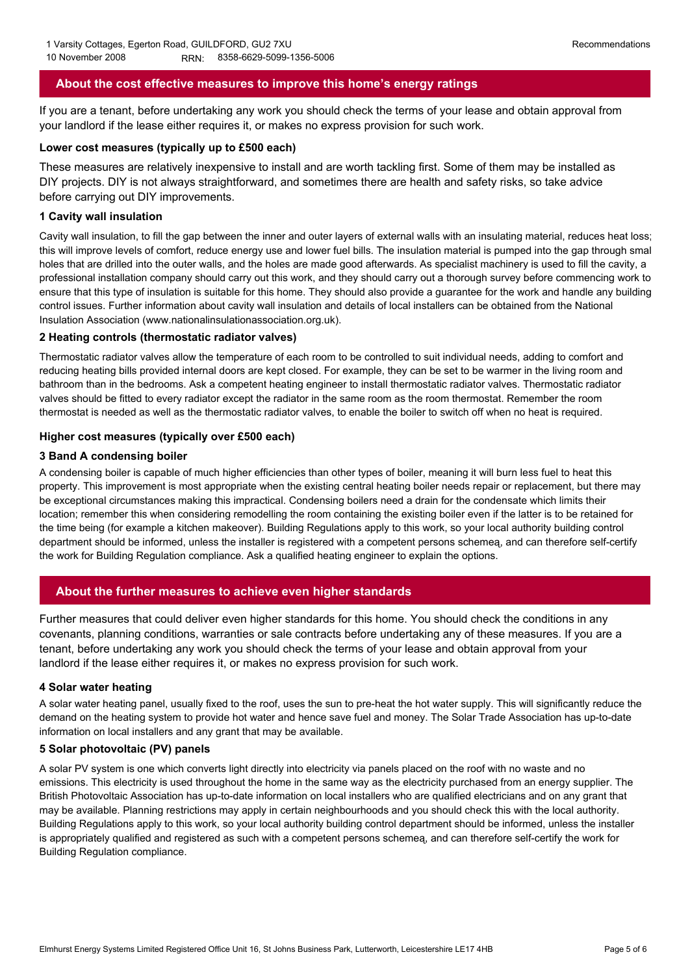### **About the cost effective measures to improve this home's energy ratings**

If you are a tenant, before undertaking any work you should check the terms of your lease and obtain approval from your landlord if the lease either requires it, or makes no express provision for such work.

#### **Lower cost measures (typically up to £500 each)**

These measures are relatively inexpensive to install and are worth tackling first. Some of them may be installed as DIY projects. DIY is not always straightforward, and sometimes there are health and safety risks, so take advice before carrying out DIY improvements.

### **1 Cavity wall insulation**

Cavity wall insulation, to fill the gap between the inner and outer layers of external walls with an insulating material, reduces heat loss; this will improve levels of comfort, reduce energy use and lower fuel bills. The insulation material is pumped into the gap through small holes that are drilled into the outer walls, and the holes are made good afterwards. As specialist machinery is used to fill the cavity, a professional installation company should carry out this work, and they should carry out a thorough survey before commencing work to ensure that this type of insulation is suitable for this home. They should also provide a guarantee for the work and handle any building control issues. Further information about cavity wall insulation and details of local installers can be obtained from the National Insulation Association (www.nationalinsulationassociation.org.uk).

### **2 Heating controls (thermostatic radiator valves)**

Thermostatic radiator valves allow the temperature of each room to be controlled to suit individual needs, adding to comfort and reducing heating bills provided internal doors are kept closed. For example, they can be set to be warmer in the living room and bathroom than in the bedrooms. Ask a competent heating engineer to install thermostatic radiator valves. Thermostatic radiator valves should be fitted to every radiator except the radiator in the same room as the room thermostat. Remember the room thermostat is needed as well as the thermostatic radiator valves, to enable the boiler to switch off when no heat is required.

### **Higher cost measures (typically over £500 each)**

### **3 Band A condensing boiler**

A condensing boiler is capable of much higher efficiencies than other types of boiler, meaning it will burn less fuel to heat this property. This improvement is most appropriate when the existing central heating boiler needs repair or replacement, but there may be exceptional circumstances making this impractical. Condensing boilers need a drain for the condensate which limits their location; remember this when considering remodelling the room containing the existing boiler even if the latter is to be retained for the time being (for example a kitchen makeover). Building Regulations apply to this work, so your local authority building control department should be informed, unless the installer is registered with a competent persons schemeą, and can therefore self-certify the work for Building Regulation compliance. Ask a qualified heating engineer to explain the options.

### **About the further measures to achieve even higher standards**

Further measures that could deliver even higher standards for this home. You should check the conditions in any covenants, planning conditions, warranties or sale contracts before undertaking any of these measures. If you are a tenant, before undertaking any work you should check the terms of your lease and obtain approval from your landlord if the lease either requires it, or makes no express provision for such work.

#### **4 Solar water heating**

A solar water heating panel, usually fixed to the roof, uses the sun to pre-heat the hot water supply. This will significantly reduce the demand on the heating system to provide hot water and hence save fuel and money. The Solar Trade Association has up-to-date information on local installers and any grant that may be available.

### **5 Solar photovoltaic (PV) panels**

A solar PV system is one which converts light directly into electricity via panels placed on the roof with no waste and no emissions. This electricity is used throughout the home in the same way as the electricity purchased from an energy supplier. The British Photovoltaic Association has up-to-date information on local installers who are qualified electricians and on any grant that may be available. Planning restrictions may apply in certain neighbourhoods and you should check this with the local authority. Building Regulations apply to this work, so your local authority building control department should be informed, unless the installer is appropriately qualified and registered as such with a competent persons schemeą, and can therefore self-certify the work for Building Regulation compliance.